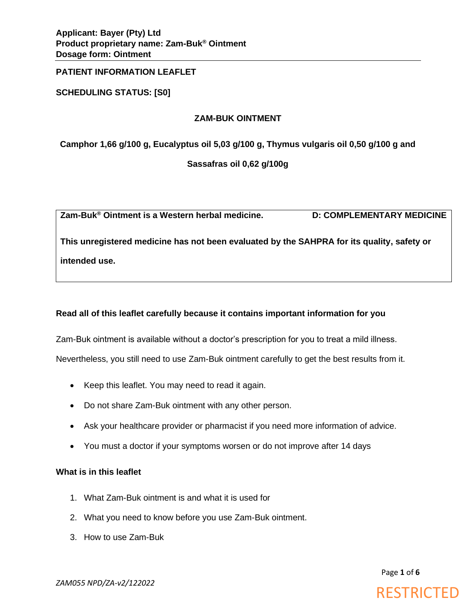**SCHEDULING STATUS: [S0]**

# **ZAM-BUK OINTMENT**

**Camphor 1,66 g/100 g, Eucalyptus oil 5,03 g/100 g, Thymus vulgaris oil 0,50 g/100 g and** 

**Sassafras oil 0,62 g/100g**

**Zam-Buk® Ointment is a Western herbal medicine. D: COMPLEMENTARY MEDICINE**

**This unregistered medicine has not been evaluated by the SAHPRA for its quality, safety or intended use.**

# **Read all of this leaflet carefully because it contains important information for you**

Zam-Buk ointment is available without a doctor's prescription for you to treat a mild illness. Nevertheless, you still need to use Zam-Buk ointment carefully to get the best results from it.

- Keep this leaflet. You may need to read it again.
- Do not share Zam-Buk ointment with any other person.
- Ask your healthcare provider or pharmacist if you need more information of advice.
- You must a doctor if your symptoms worsen or do not improve after 14 days

# **What is in this leaflet**

- 1. What Zam-Buk ointment is and what it is used for
- 2. What you need to know before you use Zam-Buk ointment.
- 3. How to use Zam-Buk

Page **1** of **6**

**RESTRICTED** 

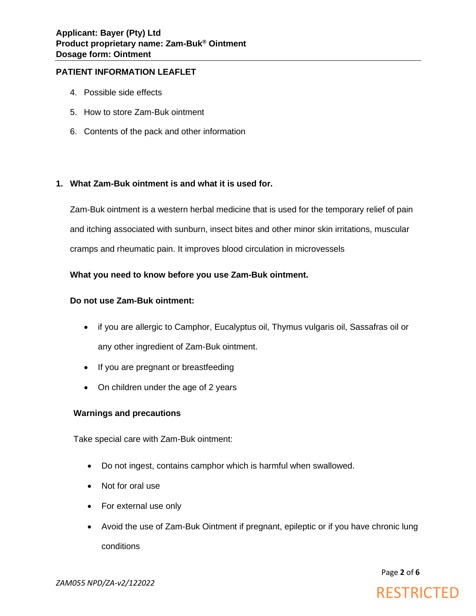- 4. Possible side effects
- 5. How to store Zam-Buk ointment
- 6. Contents of the pack and other information

## **1. What Zam-Buk ointment is and what it is used for.**

Zam-Buk ointment is a western herbal medicine that is used for the temporary relief of pain and itching associated with sunburn, insect bites and other minor skin irritations, muscular cramps and rheumatic pain. It improves blood circulation in microvessels

## **What you need to know before you use Zam-Buk ointment.**

## **Do not use Zam-Buk ointment:**

- if you are allergic to Camphor, Eucalyptus oil, Thymus vulgaris oil, Sassafras oil or any other ingredient of Zam-Buk ointment.
- If you are pregnant or breastfeeding
- On children under the age of 2 years

# **Warnings and precautions**

Take special care with Zam-Buk ointment:

- Do not ingest, contains camphor which is harmful when swallowed.
- Not for oral use
- For external use only
- Avoid the use of Zam-Buk Ointment if pregnant, epileptic or if you have chronic lung conditions

Page **2** of **6**



*ZAM055 NPD/ZA-v2/122022*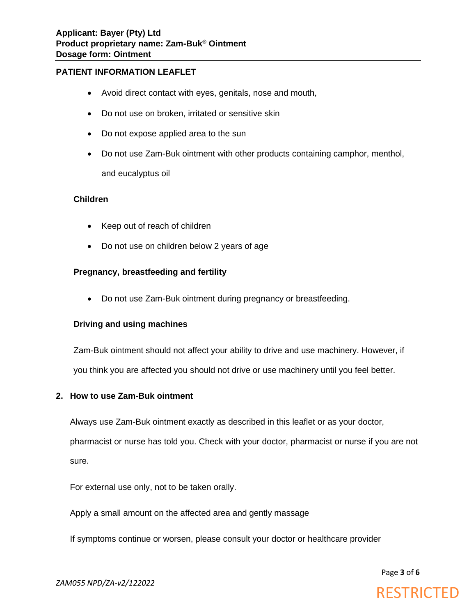- Avoid direct contact with eyes, genitals, nose and mouth,
- Do not use on broken, irritated or sensitive skin
- Do not expose applied area to the sun
- Do not use Zam-Buk ointment with other products containing camphor, menthol, and eucalyptus oil

#### **Children**

- Keep out of reach of children
- Do not use on children below 2 years of age

# **Pregnancy, breastfeeding and fertility**

• Do not use Zam-Buk ointment during pregnancy or breastfeeding.

#### **Driving and using machines**

Zam-Buk ointment should not affect your ability to drive and use machinery. However, if you think you are affected you should not drive or use machinery until you feel better.

#### **2. How to use Zam-Buk ointment**

Always use Zam-Buk ointment exactly as described in this leaflet or as your doctor,

pharmacist or nurse has told you. Check with your doctor, pharmacist or nurse if you are not sure.

For external use only, not to be taken orally.

Apply a small amount on the affected area and gently massage

If symptoms continue or worsen, please consult your doctor or healthcare provider

Page **3** of **6**

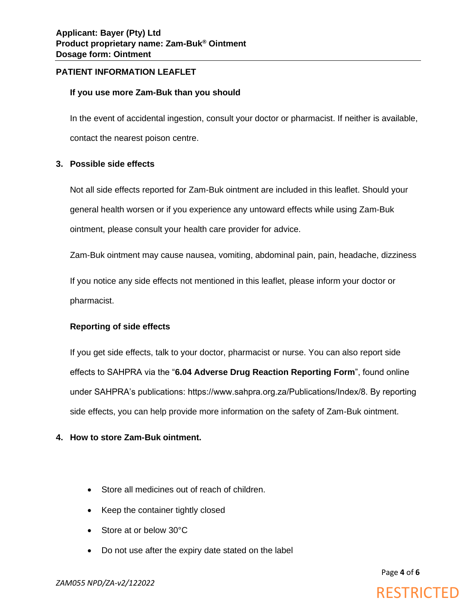## **If you use more Zam-Buk than you should**

In the event of accidental ingestion, consult your doctor or pharmacist. If neither is available, contact the nearest poison centre.

## **3. Possible side effects**

Not all side effects reported for Zam-Buk ointment are included in this leaflet. Should your general health worsen or if you experience any untoward effects while using Zam-Buk ointment, please consult your health care provider for advice.

Zam-Buk ointment may cause nausea, vomiting, abdominal pain, pain, headache, dizziness

If you notice any side effects not mentioned in this leaflet, please inform your doctor or pharmacist.

# **Reporting of side effects**

If you get side effects, talk to your doctor, pharmacist or nurse. You can also report side effects to SAHPRA via the "**6.04 Adverse Drug Reaction Reporting Form**", found online under SAHPRA's publications: https://www.sahpra.org.za/Publications/Index/8. By reporting side effects, you can help provide more information on the safety of Zam-Buk ointment.

# **4. How to store Zam-Buk ointment.**

- Store all medicines out of reach of children.
- Keep the container tightly closed
- Store at or below 30°C
- Do not use after the expiry date stated on the label

Page **4** of **6**

# **RESTRICTED**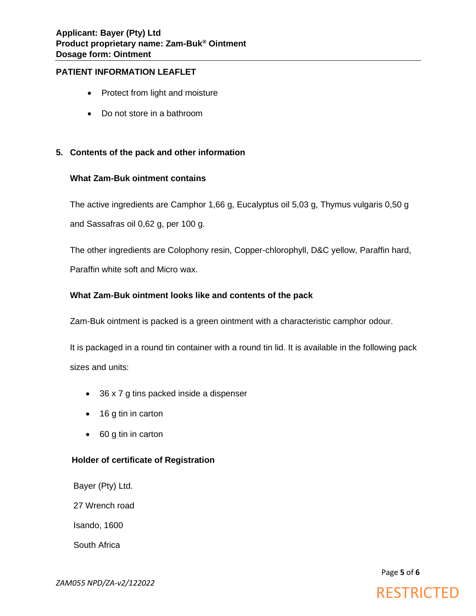- Protect from light and moisture
- Do not store in a bathroom

# **5. Contents of the pack and other information**

#### **What Zam-Buk ointment contains**

The active ingredients are Camphor 1,66 g, Eucalyptus oil 5,03 g, Thymus vulgaris 0,50 g and Sassafras oil 0,62 g, per 100 g.

The other ingredients are Colophony resin, Copper-chlorophyll, D&C yellow, Paraffin hard, Paraffin white soft and Micro wax.

## **What Zam-Buk ointment looks like and contents of the pack**

Zam-Buk ointment is packed is a green ointment with a characteristic camphor odour.

It is packaged in a round tin container with a round tin lid. It is available in the following pack sizes and units:

- 36 x 7 g tins packed inside a dispenser
- 16 g tin in carton
- 60 g tin in carton

# **Holder of certificate of Registration**

Bayer (Pty) Ltd. 27 Wrench road Isando, 1600 South Africa

Page **5** of **6**